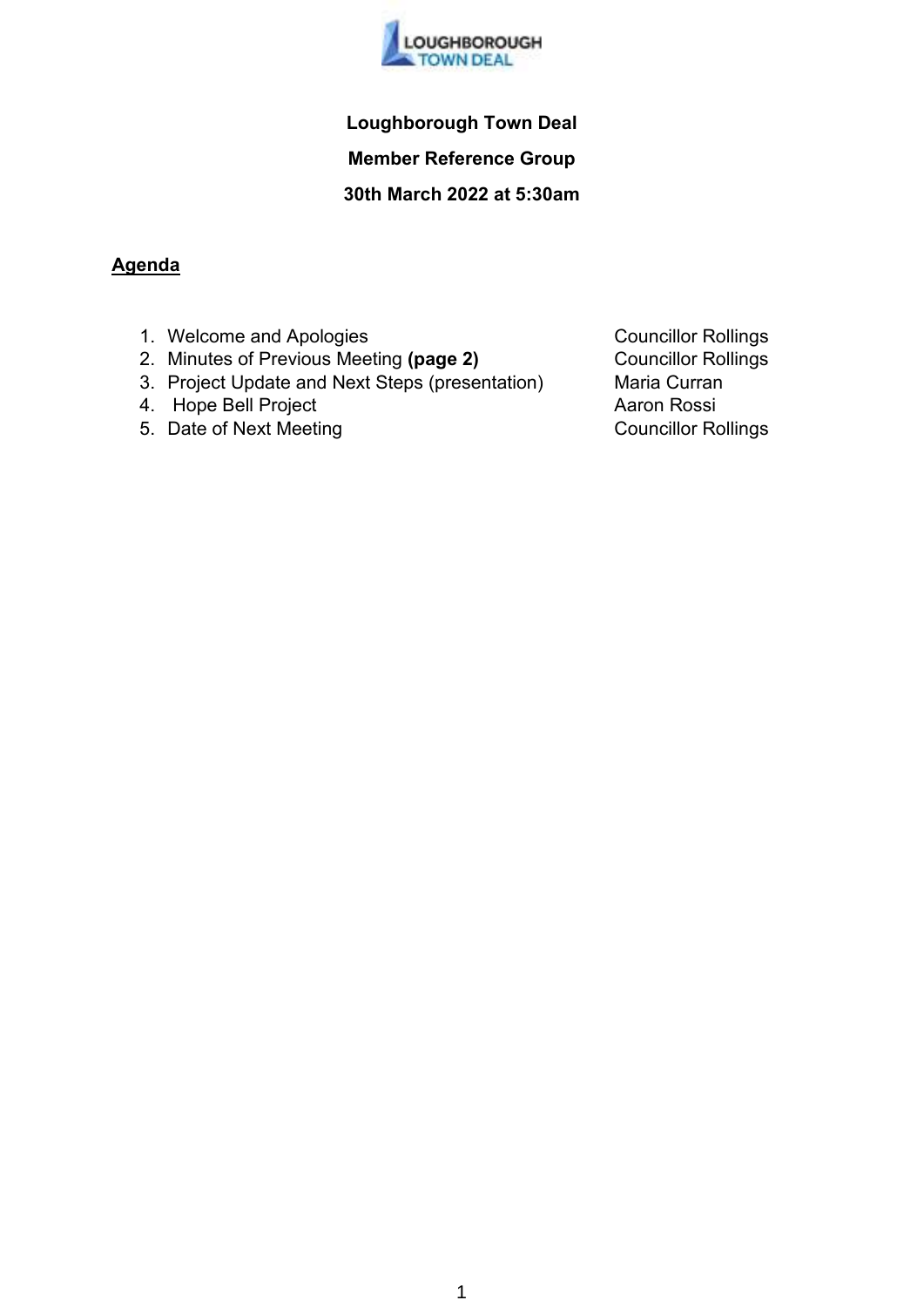

## **Loughborough Town Deal**

**Member Reference Group** 

### **30th March 2022 at 5:30am**

### **Agenda**

- 1. Welcome and Apologies **Councillor Rollings**
- 2. Minutes of Previous Meeting (page 2) **Councillor Rollings**
- 3. Project Update and Next Steps (presentation) Maria Curran<br>4. Hope Bell Project (Aaron Rossi
- 4. Hope Bell Project
- 5. Date of Next Meeting Councillor Rollings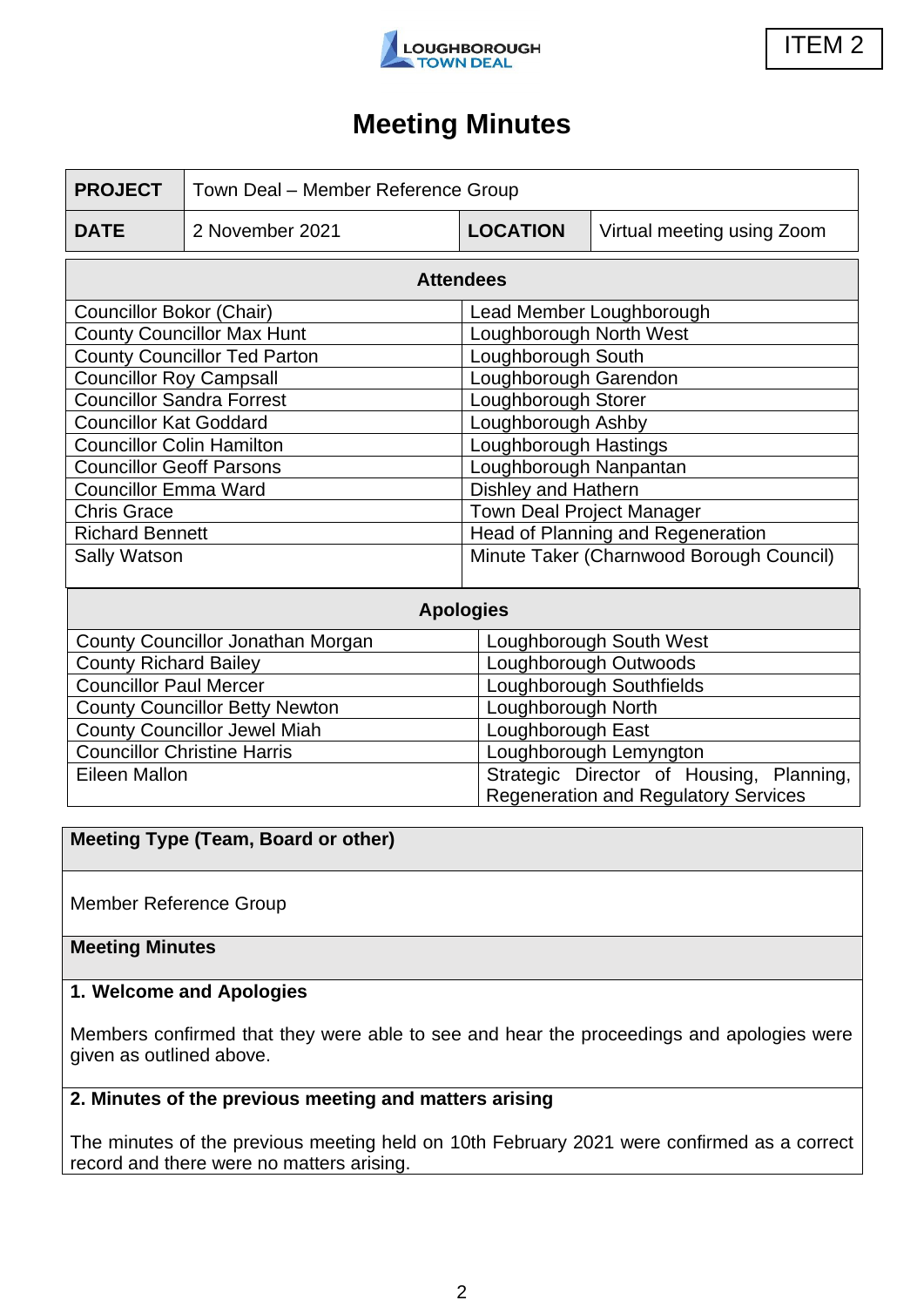

ITEM 2

## **Meeting Minutes**

| <b>PROJECT</b>                        | Town Deal - Member Reference Group |                                                                                         |                            |
|---------------------------------------|------------------------------------|-----------------------------------------------------------------------------------------|----------------------------|
| <b>DATE</b>                           | 2 November 2021                    | <b>LOCATION</b>                                                                         | Virtual meeting using Zoom |
| <b>Attendees</b>                      |                                    |                                                                                         |                            |
| Councillor Bokor (Chair)              |                                    | Lead Member Loughborough                                                                |                            |
| <b>County Councillor Max Hunt</b>     |                                    | Loughborough North West                                                                 |                            |
| <b>County Councillor Ted Parton</b>   |                                    | Loughborough South                                                                      |                            |
| <b>Councillor Roy Campsall</b>        |                                    | Loughborough Garendon                                                                   |                            |
| <b>Councillor Sandra Forrest</b>      |                                    | Loughborough Storer                                                                     |                            |
| <b>Councillor Kat Goddard</b>         |                                    | Loughborough Ashby                                                                      |                            |
| <b>Councillor Colin Hamilton</b>      |                                    | Loughborough Hastings                                                                   |                            |
| <b>Councillor Geoff Parsons</b>       |                                    | Loughborough Nanpantan                                                                  |                            |
| <b>Councillor Emma Ward</b>           |                                    | Dishley and Hathern                                                                     |                            |
| <b>Chris Grace</b>                    |                                    | <b>Town Deal Project Manager</b>                                                        |                            |
| <b>Richard Bennett</b>                |                                    | Head of Planning and Regeneration                                                       |                            |
| Sally Watson                          |                                    | Minute Taker (Charnwood Borough Council)                                                |                            |
| <b>Apologies</b>                      |                                    |                                                                                         |                            |
| County Councillor Jonathan Morgan     |                                    | Loughborough South West                                                                 |                            |
| <b>County Richard Bailey</b>          |                                    | Loughborough Outwoods                                                                   |                            |
| <b>Councillor Paul Mercer</b>         |                                    | Loughborough Southfields                                                                |                            |
| <b>County Councillor Betty Newton</b> |                                    | Loughborough North                                                                      |                            |
| <b>County Councillor Jewel Miah</b>   |                                    | Loughborough East                                                                       |                            |
| <b>Councillor Christine Harris</b>    |                                    | Loughborough Lemyngton                                                                  |                            |
| <b>Eileen Mallon</b>                  |                                    | Strategic Director of Housing, Planning,<br><b>Regeneration and Regulatory Services</b> |                            |

#### **Meeting Type (Team, Board or other)**

Member Reference Group

#### **Meeting Minutes**

#### **1. Welcome and Apologies**

Members confirmed that they were able to see and hear the proceedings and apologies were given as outlined above.

### **2. Minutes of the previous meeting and matters arising**

The minutes of the previous meeting held on 10th February 2021 were confirmed as a correct record and there were no matters arising.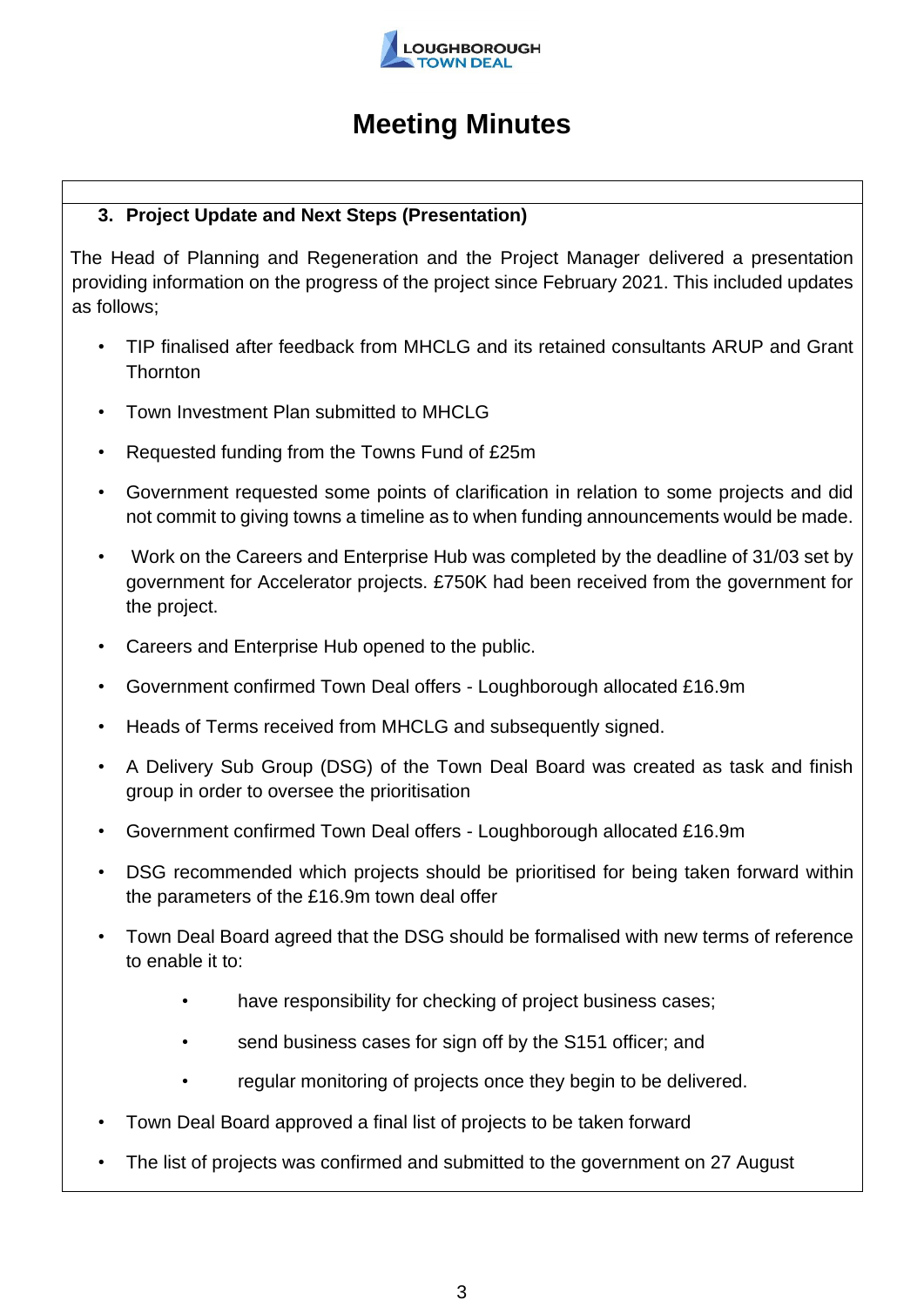

### **3. Project Update and Next Steps (Presentation)**

The Head of Planning and Regeneration and the Project Manager delivered a presentation providing information on the progress of the project since February 2021. This included updates as follows;

- TIP finalised after feedback from MHCLG and its retained consultants ARUP and Grant **Thornton**
- Town Investment Plan submitted to MHCLG
- Requested funding from the Towns Fund of £25m
- Government requested some points of clarification in relation to some projects and did not commit to giving towns a timeline as to when funding announcements would be made.
- Work on the Careers and Enterprise Hub was completed by the deadline of 31/03 set by government for Accelerator projects. £750K had been received from the government for the project.
- Careers and Enterprise Hub opened to the public.
- Government confirmed Town Deal offers Loughborough allocated £16.9m
- Heads of Terms received from MHCLG and subsequently signed.
- A Delivery Sub Group (DSG) of the Town Deal Board was created as task and finish group in order to oversee the prioritisation
- Government confirmed Town Deal offers Loughborough allocated £16.9m
- DSG recommended which projects should be prioritised for being taken forward within the parameters of the £16.9m town deal offer
- Town Deal Board agreed that the DSG should be formalised with new terms of reference to enable it to:
	- have responsibility for checking of project business cases;
	- send business cases for sign off by the S151 officer; and
	- regular monitoring of projects once they begin to be delivered.
- Town Deal Board approved a final list of projects to be taken forward
- The list of projects was confirmed and submitted to the government on 27 August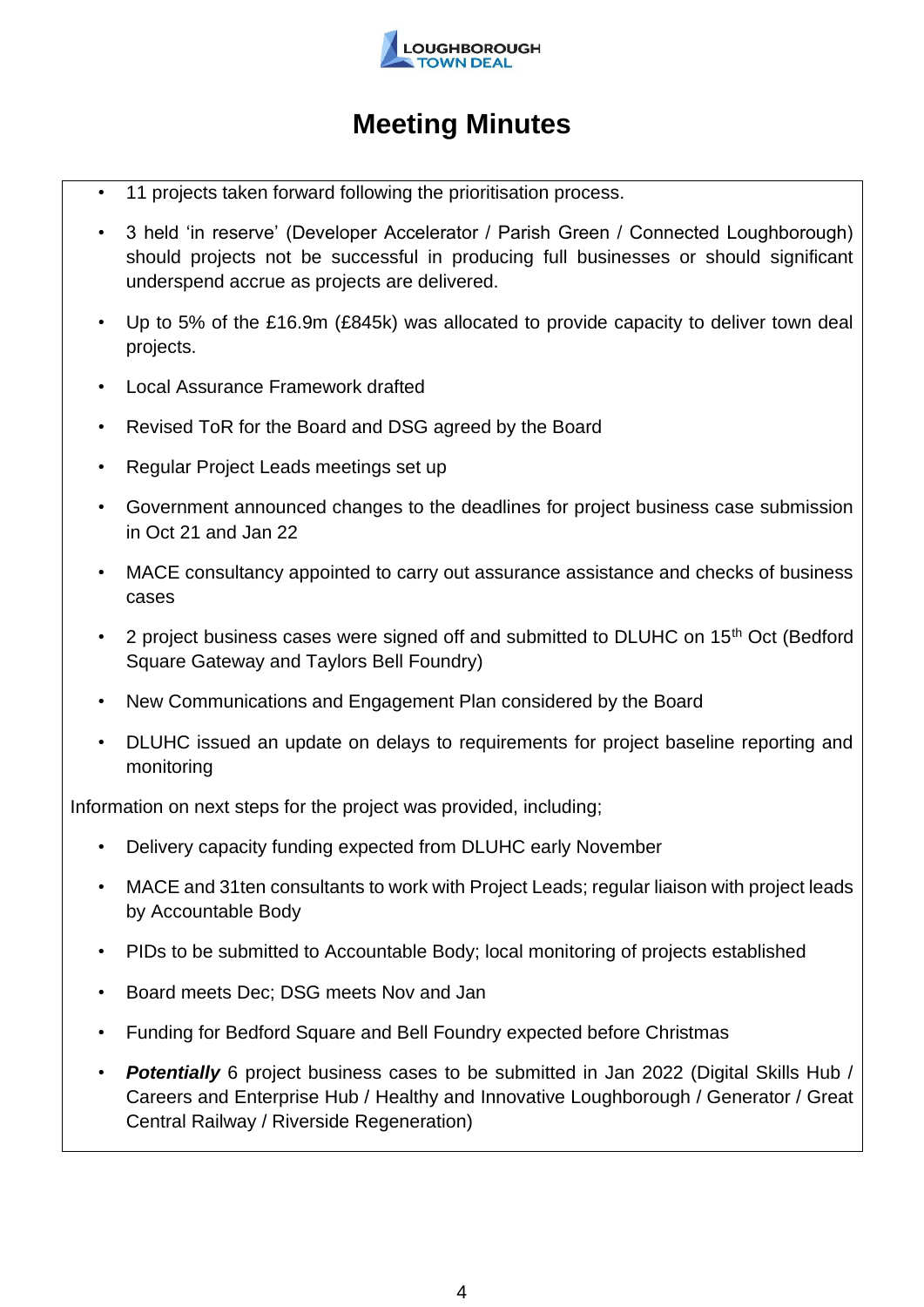

- 11 projects taken forward following the prioritisation process.
- 3 held 'in reserve' (Developer Accelerator / Parish Green / Connected Loughborough) should projects not be successful in producing full businesses or should significant underspend accrue as projects are delivered.
- Up to 5% of the £16.9m (£845k) was allocated to provide capacity to deliver town deal projects.
- Local Assurance Framework drafted
- Revised ToR for the Board and DSG agreed by the Board
- Regular Project Leads meetings set up
- Government announced changes to the deadlines for project business case submission in Oct 21 and Jan 22
- MACE consultancy appointed to carry out assurance assistance and checks of business cases
- 2 project business cases were signed off and submitted to DLUHC on 15<sup>th</sup> Oct (Bedford Square Gateway and Taylors Bell Foundry)
- New Communications and Engagement Plan considered by the Board
- DLUHC issued an update on delays to requirements for project baseline reporting and monitoring

Information on next steps for the project was provided, including;

- Delivery capacity funding expected from DLUHC early November
- MACE and 31ten consultants to work with Project Leads; regular liaison with project leads by Accountable Body
- PIDs to be submitted to Accountable Body; local monitoring of projects established
- Board meets Dec; DSG meets Nov and Jan
- Funding for Bedford Square and Bell Foundry expected before Christmas
- *Potentially* 6 project business cases to be submitted in Jan 2022 (Digital Skills Hub / Careers and Enterprise Hub / Healthy and Innovative Loughborough / Generator / Great Central Railway / Riverside Regeneration)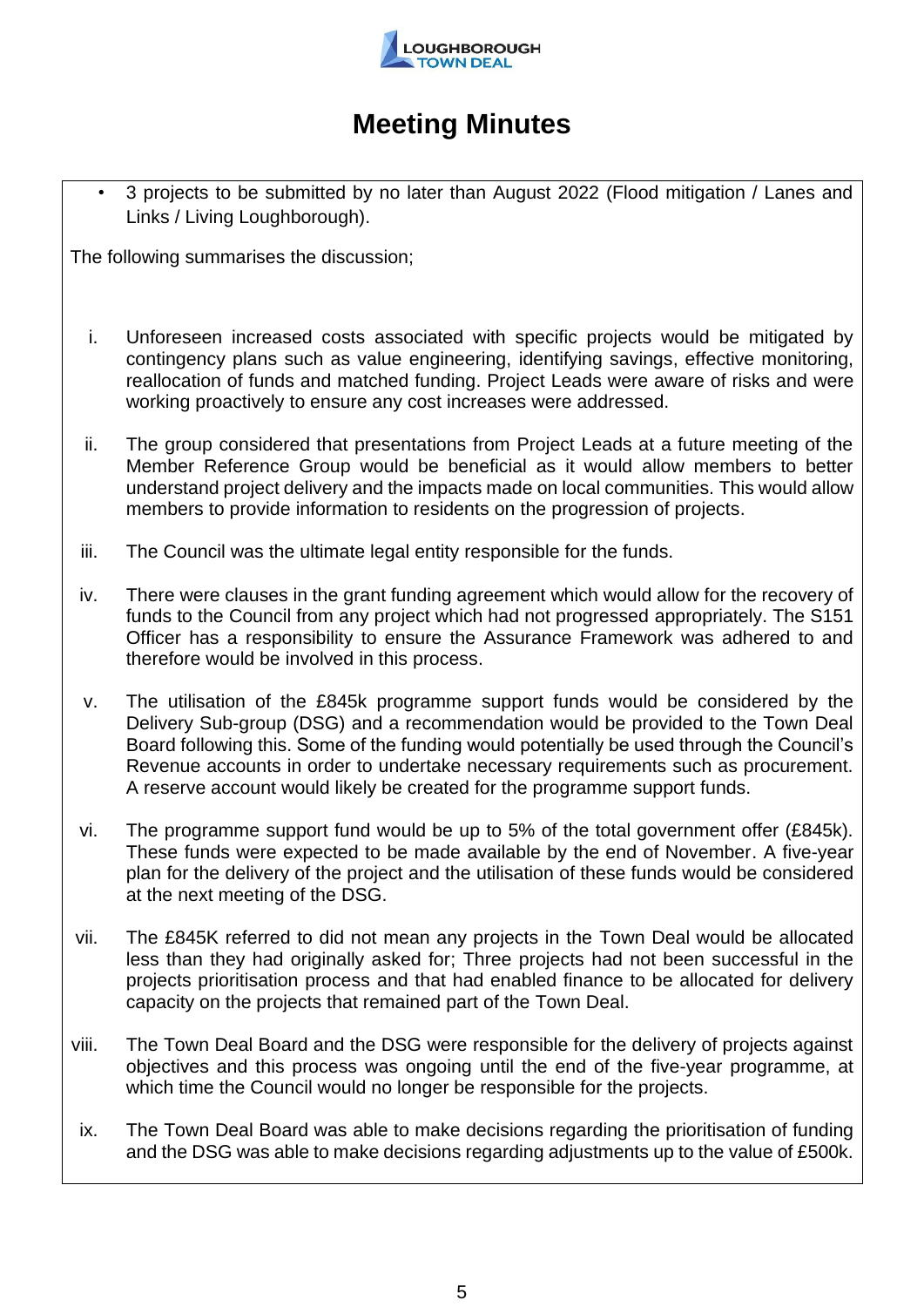

• 3 projects to be submitted by no later than August 2022 (Flood mitigation / Lanes and Links / Living Loughborough).

The following summarises the discussion;

- i. Unforeseen increased costs associated with specific projects would be mitigated by contingency plans such as value engineering, identifying savings, effective monitoring, reallocation of funds and matched funding. Project Leads were aware of risks and were working proactively to ensure any cost increases were addressed.
- ii. The group considered that presentations from Project Leads at a future meeting of the Member Reference Group would be beneficial as it would allow members to better understand project delivery and the impacts made on local communities. This would allow members to provide information to residents on the progression of projects.
- iii. The Council was the ultimate legal entity responsible for the funds.
- iv. There were clauses in the grant funding agreement which would allow for the recovery of funds to the Council from any project which had not progressed appropriately. The S151 Officer has a responsibility to ensure the Assurance Framework was adhered to and therefore would be involved in this process.
- v. The utilisation of the £845k programme support funds would be considered by the Delivery Sub-group (DSG) and a recommendation would be provided to the Town Deal Board following this. Some of the funding would potentially be used through the Council's Revenue accounts in order to undertake necessary requirements such as procurement. A reserve account would likely be created for the programme support funds.
- vi. The programme support fund would be up to 5% of the total government offer (£845k). These funds were expected to be made available by the end of November. A five-year plan for the delivery of the project and the utilisation of these funds would be considered at the next meeting of the DSG.
- vii. The £845K referred to did not mean any projects in the Town Deal would be allocated less than they had originally asked for; Three projects had not been successful in the projects prioritisation process and that had enabled finance to be allocated for delivery capacity on the projects that remained part of the Town Deal.
- viii. The Town Deal Board and the DSG were responsible for the delivery of projects against objectives and this process was ongoing until the end of the five-year programme, at which time the Council would no longer be responsible for the projects.
- ix. The Town Deal Board was able to make decisions regarding the prioritisation of funding and the DSG was able to make decisions regarding adjustments up to the value of £500k.